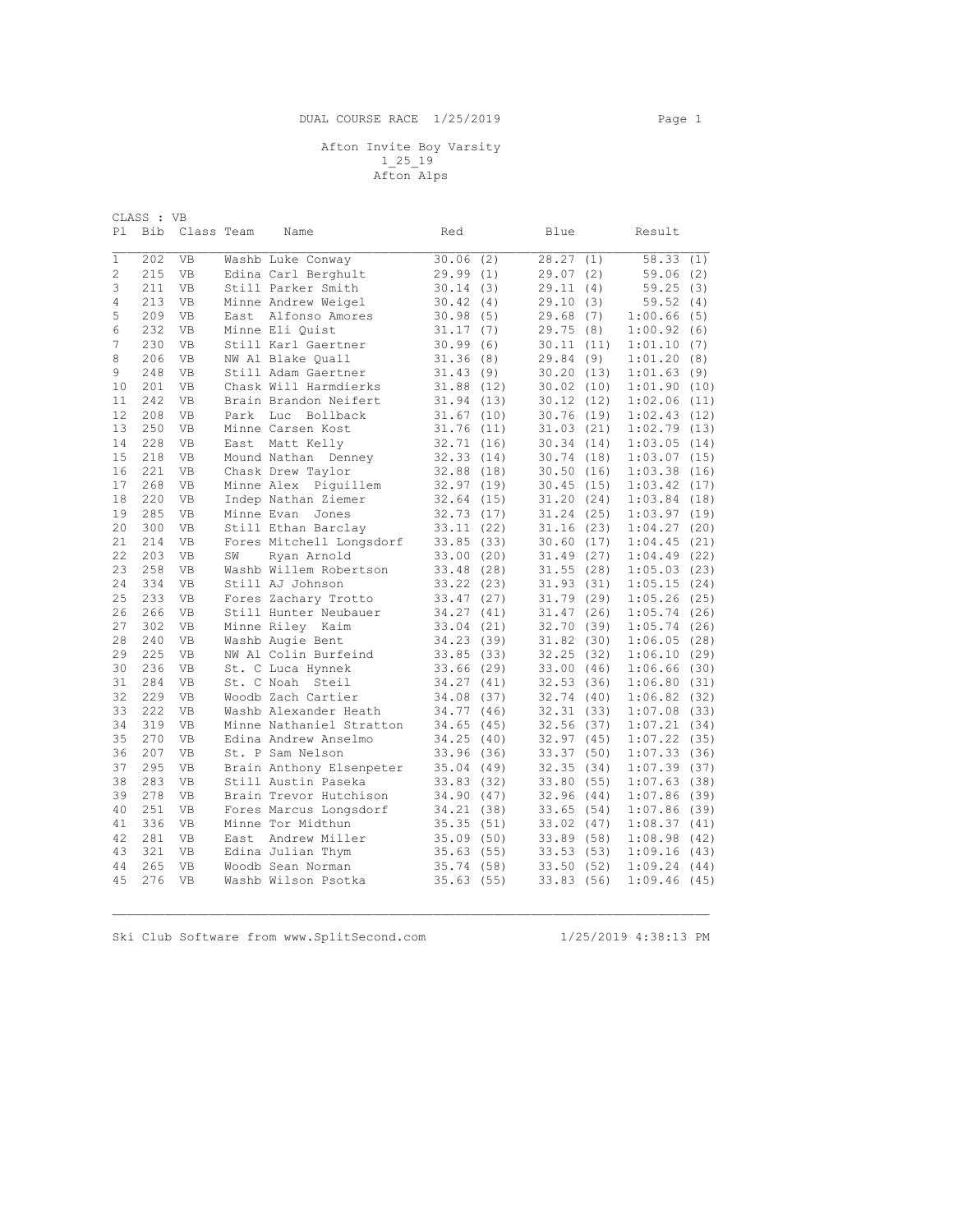## Afton Invite Boy Varsity 1\_25\_19

Afton Alps

|                | CLASS : VB |                        |      |                                                 |                        |      |                        |                    |      |
|----------------|------------|------------------------|------|-------------------------------------------------|------------------------|------|------------------------|--------------------|------|
| Pl             | Bib        | Class Team             |      | Name                                            | Red                    |      | Blue                   | Result             |      |
| 1              | 202        | VB                     |      | Washb Luke Conway                               | 30.06(2)               |      | 28.27(1)               | 58.33(1)           |      |
| $\overline{c}$ | 215        | VB                     |      | Edina Carl Berghult                             | 29.99(1)               |      | 29.07(2)               | 59.06(2)           |      |
| 3              | 211        | <b>VB</b>              |      | Still Parker Smith                              | 30.14                  | (3)  | 29.11(4)               | 59.25(3)           |      |
| 4              | 213        | <b>VB</b>              |      | Minne Andrew Weigel                             | 30.42                  | (4)  | 29.10(3)               | 59.52              | (4)  |
| 5              | 209        | VB                     |      | East Alfonso Amores                             | 30.98(5)               |      | 29.68(7)               | 1:00.66(5)         |      |
| 6              | 232        | <b>VB</b>              |      | Minne Eli Ouist                                 | 31.17                  | (7)  | 29.75(8)               | 1:00.92            | (6)  |
| 7              | 230        | <b>VB</b>              |      | Still Karl Gaertner                             | 30.99                  | (6)  | 30.11(11)              | 1:01.10            | (7)  |
| 8              | 206        | VB                     |      | NW Al Blake Ouall                               | 31.36(8)               |      | 29.84(9)               | 1:01.20(8)         |      |
| 9              | 248        | <b>VB</b>              |      | Still Adam Gaertner                             | 31.43                  | (9)  | 30.20(13)              | 1:01.63(9)         |      |
| 10             | 201        | VB                     |      | Chask Will Harmdierks                           | 31.88(12)              |      | 30.02(10)              | 1:01.90(10)        |      |
| 11             | 242        | <b>VB</b>              |      | Brain Brandon Neifert                           | 31.94(13)              |      | 30.12(12)              | 1:02.06(11)        |      |
| 12             | 208        | VB                     | Park | Luc Bollback                                    | 31.67(10)              |      | 30.76(19)              | 1:02.43(12)        |      |
| 13             | 250        | <b>VB</b>              |      | Minne Carsen Kost                               | 31.76(11)              |      | 31.03(21)              | 1:02.79(13)        |      |
| 14             | 228        | VB                     | East | Matt Kelly                                      | 32.71(16)              |      | 30.34(14)              | 1:03.05(14)        |      |
| 15             | 218        | VB                     |      | Mound Nathan<br>Denney                          | 32.33(14)              |      | 30.74(18)              | 1:03.07(15)        |      |
| 16             | 221        | VB                     |      | Chask Drew Taylor                               | 32.88                  | (18) | 30.50(16)              | 1:03.38            | (16) |
| 17             | 268        | <b>VB</b>              |      | Minne Alex Piquillem                            | 32.97(19)              |      | 30.45(15)              | 1:03.42(17)        |      |
| 18             | 220        | <b>VB</b>              |      | Indep Nathan Ziemer                             | 32.64                  | (15) | 31.20(24)              | 1:03.84(18)        |      |
| 19             | 285        | VB                     |      | Minne Evan Jones                                | 32.73(17)              |      | 31.24(25)              | 1:03.97(19)        |      |
| 20             | 300        | VB                     |      | Still Ethan Barclay                             | 33.11(22)              |      | 31.16(23)              | 1:04.27(20)        |      |
| 21             | 214        | VB                     |      | Fores Mitchell Longsdorf                        | 33.85 (33)             |      | 30.60(17)              | 1:04.45(21)        |      |
| 22             | 203        | VB                     | SW   | Ryan Arnold                                     | 33.00(20)              |      | 31.49(27)              | 1:04.49(22)        |      |
| 23             | 258        | VB                     |      | Washb Willem Robertson                          | 33.48 (28)             |      | 31.55(28)              | 1:05.03(23)        |      |
| 24             | 334        | VB                     |      | Still AJ Johnson                                | 33.22(23)              |      | 31.93(31)              | 1:05.15(24)        |      |
| 25             | 233        | VB                     |      | Fores Zachary Trotto                            | 33.47(27)              |      | 31.79(29)              | 1:05.26(25)        |      |
| 26             | 266        | VB                     |      | Still Hunter Neubauer                           | 34.27                  | (41) | 31.47(26)              | 1:05.74(26)        |      |
| 27             | 302        | <b>VB</b>              |      | Minne Riley Kaim                                | 33.04                  | (21) | 32.70(39)              | 1:05.74(26)        |      |
| 28             | 240        | VB                     |      | Washb Augie Bent                                | 34.23(39)              |      | 31.82(30)              | 1:06.05(28)        |      |
| 29             | 225        | <b>VB</b>              |      | NW Al Colin Burfeind                            | 33.85(33)              |      | 32.25(32)              | 1:06.10(29)        |      |
| 30             | 236        | VB                     |      | St. C Luca Hynnek                               | 33.66(29)              |      | 33.00(46)              | 1:06.66(30)        |      |
| 31             | 284        | VB                     |      | St. C Noah Steil                                | 34.27                  | (41) | 32.53(36)              | 1:06.80(31)        |      |
| 32             | 229        | VB                     |      | Woodb Zach Cartier                              | 34.08 (37)             |      | 32.74(40)              | 1:06.82(32)        |      |
| 33             | 222        | <b>VB</b>              |      | Washb Alexander Heath                           | 34.77                  | (46) | 32.31(33)              | 1:07.08(33)        |      |
| 34             | 319        | VB                     |      | Minne Nathaniel Stratton                        | 34.65                  | (45) | 32.56(37)              | 1:07.21(34)        |      |
| 35             | 270        | VB                     |      | Edina Andrew Anselmo                            | 34.25                  | (40) | 32.97(45)              | 1:07.22(35)        |      |
| 36             | 207        | <b>VB</b>              |      | St. P Sam Nelson                                | 33.96                  | (36) | 33.37(50)              | 1:07.33(36)        |      |
| 37             | 295        | VB                     |      | Brain Anthony Elsenpeter<br>Still Austin Paseka | 35.04(49)              |      | 32.35(34)              | 1:07.39(37)        |      |
| 38<br>39       | 283<br>278 | <b>VB</b><br><b>VB</b> |      | Brain Trevor Hutchison                          | 33.83(32)              |      | 33.80(55)              | 1:07.63(38)        |      |
| 40             |            |                        |      |                                                 | 34.90(47)              |      | 32.96(44)              | 1:07.86(39)        |      |
|                | 251<br>336 | VB                     |      | Fores Marcus Longsdorf<br>Minne Tor Midthun     | 34.21(38)              |      | 33.65(54)              | 1:07.86(39)        |      |
| 41<br>42       | 281        | VB<br>VB               | East | Andrew Miller                                   | 35.35(51)<br>35.09(50) |      | 33.02(47)              | 1:08.37(41)        | (42) |
| 43             | 321        | <b>VB</b>              |      | Edina Julian Thym                               | 35.63                  | (55) | 33.89(58)<br>33.53(53) | 1:08.98<br>1:09.16 | (43) |
| 44             | 265        | <b>VB</b>              |      | Woodb Sean Norman                               | 35.74(58)              |      | 33.50(52)              | 1:09.24(44)        |      |
| 45             | 276        | <b>VB</b>              |      | Washb Wilson Psotka                             | 35.63(55)              |      |                        | 1:09.46(45)        |      |
|                |            |                        |      |                                                 |                        |      | 33.83(56)              |                    |      |

 $\mathcal{L}_\mathcal{L} = \{ \mathcal{L}_\mathcal{L} = \{ \mathcal{L}_\mathcal{L} = \{ \mathcal{L}_\mathcal{L} = \{ \mathcal{L}_\mathcal{L} = \{ \mathcal{L}_\mathcal{L} = \{ \mathcal{L}_\mathcal{L} = \{ \mathcal{L}_\mathcal{L} = \{ \mathcal{L}_\mathcal{L} = \{ \mathcal{L}_\mathcal{L} = \{ \mathcal{L}_\mathcal{L} = \{ \mathcal{L}_\mathcal{L} = \{ \mathcal{L}_\mathcal{L} = \{ \mathcal{L}_\mathcal{L} = \{ \mathcal{L}_\mathcal{$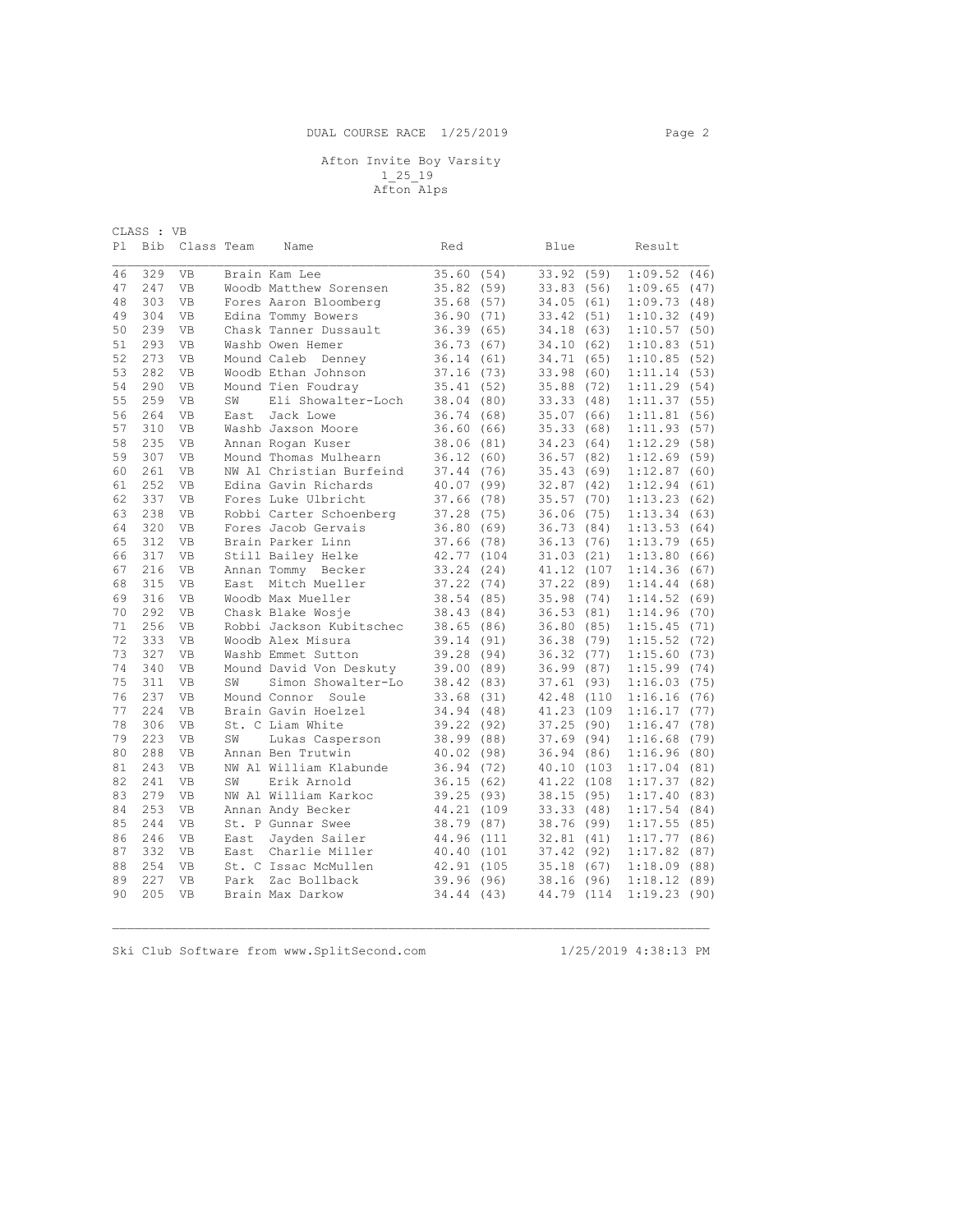## Afton Invite Boy Varsity 1\_25\_19 Afton Alps

|    | CLASS : VB |            |      |                          |       |       |            |       |             |      |
|----|------------|------------|------|--------------------------|-------|-------|------------|-------|-------------|------|
| P1 | Bib        | Class Team |      | Name                     | Red   |       | Blue       |       | Result      |      |
|    |            |            |      |                          |       |       |            |       |             |      |
| 46 | 329        | <b>VB</b>  |      | Brain Kam Lee            | 35.60 | (54)  | 33.92      | (59)  | 1:09.52     | (46) |
| 47 | 247        | <b>VB</b>  |      | Woodb Matthew Sorensen   | 35.82 | (59)  | 33.83(56)  |       | 1:09.65(47) |      |
| 48 | 303        | <b>VB</b>  |      | Fores Aaron Bloomberg    | 35.68 | (57)  | 34.05(61)  |       | 1:09.73     | (48) |
| 49 | 304        | <b>VB</b>  |      | Edina Tommy Bowers       | 36.90 | (71)  | 33.42 (51) |       | 1:10.32(49) |      |
| 50 | 239        | <b>VB</b>  |      | Chask Tanner Dussault    | 36.39 | (65)  | 34.18 (63) |       | 1:10.57     | (50) |
| 51 | 293        | <b>VB</b>  |      | Washb Owen Hemer         | 36.73 | (67)  | 34.10 (62) |       | 1:10.83(51) |      |
| 52 | 273        | <b>VB</b>  |      | Mound Caleb<br>Denney    | 36.14 | (61)  | 34.71 (65) |       | 1:10.85(52) |      |
| 53 | 282        | VB         |      | Woodb Ethan Johnson      | 37.16 | (73)  | 33.98      | (60)  | 1:11.14(53) |      |
| 54 | 290        | VB         |      | Mound Tien Foudray       | 35.41 | (52)  | 35.88 (72) |       | 1:11.29(54) |      |
| 55 | 259        | VB         | SW   | Eli Showalter-Loch       | 38.04 | (80)  | 33.33      | (48)  | 1:11.37     | (55) |
| 56 | 264        | <b>VB</b>  | East | Jack Lowe                | 36.74 | (68)  | 35.07      | (66)  | 1:11.81     | (56) |
| 57 | 310        | <b>VB</b>  |      | Washb Jaxson Moore       | 36.60 | (66)  | 35.33      | (68)  | 1:11.93     | (57) |
| 58 | 235        | <b>VB</b>  |      | Annan Rogan Kuser        | 38.06 | (81)  | 34.23 (64) |       | 1:12.29(58) |      |
| 59 | 307        | <b>VB</b>  |      | Mound Thomas Mulhearn    | 36.12 | (60)  | 36.57      | (82)  | 1:12.69(59) |      |
| 60 | 261        | <b>VB</b>  |      | NW Al Christian Burfeind | 37.44 | (76)  | 35.43      | (69)  | 1:12.87(60) |      |
| 61 | 252        | <b>VB</b>  |      | Edina Gavin Richards     | 40.07 | (99)  | 32.87      | (42)  | 1:12.94     | (61) |
| 62 | 337        | <b>VB</b>  |      | Fores Luke Ulbricht      | 37.66 | (78)  | 35.57      | (70)  | 1:13.23(62) |      |
| 63 | 238        | <b>VB</b>  |      | Robbi Carter Schoenberg  | 37.28 | (75)  | 36.06      | (75)  | 1:13.34(63) |      |
| 64 | 320        | VB         |      | Fores Jacob Gervais      | 36.80 | (69)  | 36.73 (84) |       | 1:13.53(64) |      |
| 65 | 312        | <b>VB</b>  |      | Brain Parker Linn        | 37.66 | (78)  | 36.13(76)  |       | 1:13.79     | (65) |
| 66 | 317        | <b>VB</b>  |      | Still Bailey Helke       | 42.77 | (104) | 31.03      | (21)  | 1:13.80     | (66) |
| 67 | 216        | <b>VB</b>  |      | Annan Tommy Becker       | 33.24 | (24)  | 41.12 (107 |       | 1:14.36     | (67) |
| 68 | 315        | <b>VB</b>  | East | Mitch Mueller            | 37.22 | (74)  | 37.22      | (89)  | 1:14.44     | (68) |
| 69 | 316        | <b>VB</b>  |      | Woodb Max Mueller        | 38.54 | (85)  | 35.98 (74) |       | 1:14.52(69) |      |
| 70 | 292        | <b>VB</b>  |      | Chask Blake Wosje        | 38.43 | (84)  | 36.53(81)  |       | 1:14.96(70) |      |
| 71 | 256        | VB         |      | Robbi Jackson Kubitschec | 38.65 | (86)  | 36.80 (85) |       | 1:15.45(71) |      |
| 72 | 333        | <b>VB</b>  |      | Woodb Alex Misura        | 39.14 | (91)  | 36.38 (79) |       | 1:15.52     | (72) |
| 73 | 327        | VB         |      | Washb Emmet Sutton       | 39.28 | (94)  | 36.32      | (77)  | 1:15.60(73) |      |
| 74 | 340        | <b>VB</b>  |      | Mound David Von Deskuty  | 39.00 | (89)  | 36.99      | (87)  | 1:15.99     | (74) |
| 75 | 311        | <b>VB</b>  | SW   | Simon Showalter-Lo       | 38.42 | (83)  | 37.61(93)  |       | 1:16.03(75) |      |
| 76 | 237        | VB         |      | Mound Connor Soule       | 33.68 | (31)  | 42.48 (110 |       | 1:16.16(76) |      |
| 77 | 224        | <b>VB</b>  |      | Brain Gavin Hoelzel      | 34.94 | (48)  | 41.23      | (109  | 1:16.17     | (77) |
| 78 | 306        | <b>VB</b>  |      | St. C Liam White         | 39.22 | (92)  | 37.25(90)  |       | 1:16.47     | (78) |
| 79 | 223        | <b>VB</b>  | SW   | Lukas Casperson          | 38.99 | (88)  | 37.69(94)  |       | 1:16.68     | (79) |
| 80 | 288        | <b>VB</b>  |      | Annan Ben Trutwin        | 40.02 | (98)  | 36.94      | (86)  | 1:16.96(80) |      |
| 81 | 243        | <b>VB</b>  |      | NW Al William Klabunde   | 36.94 | (72)  | 40.10 (103 |       | 1:17.04     | (81) |
| 82 | 241        | <b>VB</b>  | SW   | Erik Arnold              | 36.15 | (62)  | 41.22      | (108  | 1:17.37(82) |      |
| 83 | 279        | VB         |      | NW Al William Karkoc     | 39.25 | (93)  | 38.15      | (95)  | 1:17.40     | (83) |
| 84 | 253        | <b>VB</b>  |      | Annan Andy Becker        | 44.21 | (109  | 33.33(48)  |       | 1:17.54(84) |      |
| 85 | 244        | <b>VB</b>  |      | St. P Gunnar Swee        | 38.79 | (87)  | 38.76 (99) |       | 1:17.55     | (85) |
| 86 | 246        | <b>VB</b>  | East | Jayden Sailer            | 44.96 | (111) | 32.81(41)  |       | 1:17.77(86) |      |
| 87 | 332        | VB         | East | Charlie Miller           | 40.40 | (101  | 37.42(92)  |       | 1:17.82     | (87) |
| 88 | 254        | <b>VB</b>  |      | St. C Issac McMullen     | 42.91 | (105) | 35.18      | (67)  | 1:18.09     | (88) |
| 89 | 227        | <b>VB</b>  | Park | Zac Bollback             | 39.96 | (96)  | 38.16 (96) |       | 1:18.12     | (89) |
| 90 | 205        | <b>VB</b>  |      | Brain Max Darkow         | 34.44 | (43)  | 44.79      | (114) | 1:19.23     | (90) |
|    |            |            |      |                          |       |       |            |       |             |      |

 $\mathcal{L}_\mathcal{L} = \{ \mathcal{L}_\mathcal{L} = \{ \mathcal{L}_\mathcal{L} = \{ \mathcal{L}_\mathcal{L} = \{ \mathcal{L}_\mathcal{L} = \{ \mathcal{L}_\mathcal{L} = \{ \mathcal{L}_\mathcal{L} = \{ \mathcal{L}_\mathcal{L} = \{ \mathcal{L}_\mathcal{L} = \{ \mathcal{L}_\mathcal{L} = \{ \mathcal{L}_\mathcal{L} = \{ \mathcal{L}_\mathcal{L} = \{ \mathcal{L}_\mathcal{L} = \{ \mathcal{L}_\mathcal{L} = \{ \mathcal{L}_\mathcal{$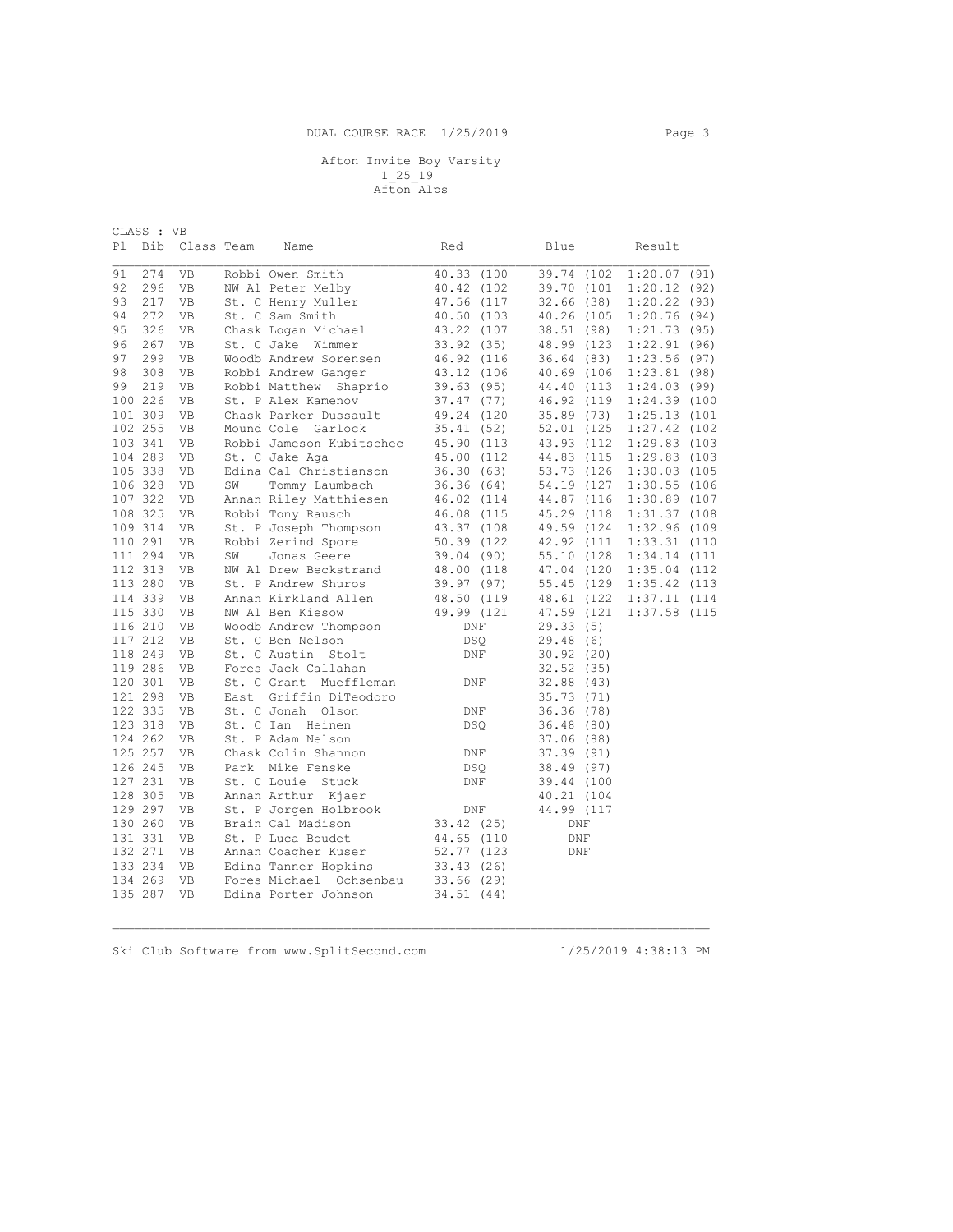## Afton Invite Boy Varsity 1\_25\_19 Afton Alps

| CLASS : VB |         |            |      |                          |                    |             |                 |  |
|------------|---------|------------|------|--------------------------|--------------------|-------------|-----------------|--|
| Pl         | Bib     | Class Team |      | Name                     | Red                | Blue        | Result          |  |
|            |         |            |      |                          |                    |             |                 |  |
| 91         | 274     | VB         |      | Robbi Owen Smith         | 40.33 (100         | 39.74 (102  | 1:20.07(91)     |  |
| 92         | 296     | VB         |      | NW Al Peter Melby        | 40.42 (102         | 39.70 (101  | 1:20.12(92)     |  |
| 93         | 217     | VB         |      | St. C Henry Muller       | 47.56 (117         | 32.66(38)   | 1:20.22(93)     |  |
| 94         | 272     | VB         |      | St. C Sam Smith          | 40.50 (103         | 40.26 (105  | 1:20.76(94)     |  |
| 95         | 326     | VB         |      | Chask Logan Michael      | 43.22 (107         | 38.51 (98)  | 1:21.73(95)     |  |
| 96         | 267     | VB         |      | St. C Jake Wimmer        | 33.92(35)          | 48.99 (123  | 1:22.91(96)     |  |
| 97         | 299     | VB         |      | Woodb Andrew Sorensen    | 46.92 (116         | 36.64 (83)  | 1:23.56(97)     |  |
| 98         | 308     | VB         |      | Robbi Andrew Ganger      | 43.12 (106         | 40.69 (106  | 1:23.81(98)     |  |
| 99         | 219     | VB         |      | Robbi Matthew Shaprio    | 39.63(95)          | 44.40 (113  | 1:24.03(99)     |  |
|            | 100 226 | VB         |      | St. P Alex Kamenov       | 37.47(77)          | 46.92 (119  | 1:24.39 (100    |  |
|            | 101 309 | VB         |      | Chask Parker Dussault    | 49.24 (120         | 35.89 (73)  | $1:25.13$ (101  |  |
|            | 102 255 | VB         |      | Mound Cole Garlock       | 35.41(52)          | 52.01 (125  | 1:27.42 (102    |  |
|            | 103 341 | VB         |      | Robbi Jameson Kubitschec | 45.90 (113         | 43.93 (112) | $1:29.83$ (103  |  |
|            | 104 289 | VB         |      | St. C Jake Aga           | 45.00 (112         | 44.83 (115  | $1:29.83$ (103  |  |
|            | 105 338 | VB         |      | Edina Cal Christianson   | 36.30(63)          | 53.73 (126  | 1:30.03 (105    |  |
|            | 106 328 | VB         | SW   | Tommy Laumbach           | 36.36(64)          | 54.19 (127  | $1:30.55$ (106  |  |
|            | 107 322 | VB         |      | Annan Riley Matthiesen   | 46.02 (114         | 44.87 (116  | 1:30.89 (107    |  |
|            | 108 325 | VB         |      | Robbi Tony Rausch        | 46.08 (115         | 45.29 (118) | 1:31.37 (108    |  |
|            | 109 314 | VB         |      | St. P Joseph Thompson    | 43.37 (108         | 49.59 (124  | 1:32.96 (109    |  |
|            | 110 291 | VB         |      | Robbi Zerind Spore       | 50.39 (122         | 42.92 (111  | $1:33.31$ (110  |  |
|            | 111 294 | VB         | SW   | Jonas Geere              | 39.04 (90)         | 55.10 (128) | 1:34.14 (111    |  |
|            | 112 313 | VB         |      | NW Al Drew Beckstrand    | 48.00 (118         | 47.04 (120  | $1:35.04$ (112) |  |
|            | 113 280 | VB         |      | St. P Andrew Shuros      | 39.97(97)          | 55.45 (129  | 1:35.42 (113    |  |
|            | 114 339 | VB         |      | Annan Kirkland Allen     | 48.50 (119         | 48.61 (122) | $1:37.11$ (114  |  |
|            | 115 330 | VB         |      | NW Al Ben Kiesow         | 49.99 (121         | 47.59 (121  | 1:37.58 (115    |  |
|            | 116 210 | VB         |      | Woodb Andrew Thompson    | DNF                | 29.33(5)    |                 |  |
|            | 117 212 | VB         |      | St. C Ben Nelson         | <b>DSQ</b>         | 29.48(6)    |                 |  |
|            | 118 249 | VB         |      | St. C Austin Stolt       | DNF                | 30.92(20)   |                 |  |
|            | 119 286 | VB         |      | Fores Jack Callahan      |                    | 32.52(35)   |                 |  |
|            | 120 301 | VB         |      | St. C Grant Mueffleman   | DNF                | 32.88(43)   |                 |  |
|            | 121 298 | VB         | East | Griffin DiTeodoro        |                    | 35.73 (71)  |                 |  |
|            | 122 335 | VB         |      | St. C Jonah Olson        | DNF                | 36.36(78)   |                 |  |
|            | 123 318 | VB         |      | St. C Ian Heinen         | <b>DSQ</b>         | 36.48 (80)  |                 |  |
|            | 124 262 | VB         |      | St. P Adam Nelson        |                    | 37.06 (88)  |                 |  |
|            | 125 257 | VB         |      | Chask Colin Shannon      | DNF                | 37.39 (91)  |                 |  |
|            | 126 245 | VB         |      | Park Mike Fenske         | <b>DSQ</b>         | 38.49 (97)  |                 |  |
|            | 127 231 | VB         |      | St. C Louie Stuck        | $\mathop{\rm DNF}$ | 39.44 (100  |                 |  |
|            | 128 305 | VB         |      | Annan Arthur Kjaer       |                    | 40.21 (104  |                 |  |
|            |         |            |      |                          |                    |             |                 |  |
|            | 129 297 | VB         |      | St. P Jorgen Holbrook    | DNF                | 44.99 (117  |                 |  |
|            | 130 260 | VB         |      | Brain Cal Madison        | 33.42(25)          | DNF         |                 |  |
|            | 131 331 | VB         |      | St. P Luca Boudet        | 44.65 (110         | DNF         |                 |  |
|            | 132 271 | VB         |      | Annan Coagher Kuser      | 52.77 (123         | DNF         |                 |  |
|            | 133 234 | VB         |      | Edina Tanner Hopkins     | 33.43(26)          |             |                 |  |
|            | 134 269 | VB         |      | Fores Michael Ochsenbau  | 33.66(29)          |             |                 |  |
|            | 135 287 | <b>VB</b>  |      | Edina Porter Johnson     | 34.51 (44)         |             |                 |  |

 $\mathcal{L}_\mathcal{L} = \{ \mathcal{L}_\mathcal{L} = \{ \mathcal{L}_\mathcal{L} = \{ \mathcal{L}_\mathcal{L} = \{ \mathcal{L}_\mathcal{L} = \{ \mathcal{L}_\mathcal{L} = \{ \mathcal{L}_\mathcal{L} = \{ \mathcal{L}_\mathcal{L} = \{ \mathcal{L}_\mathcal{L} = \{ \mathcal{L}_\mathcal{L} = \{ \mathcal{L}_\mathcal{L} = \{ \mathcal{L}_\mathcal{L} = \{ \mathcal{L}_\mathcal{L} = \{ \mathcal{L}_\mathcal{L} = \{ \mathcal{L}_\mathcal{$